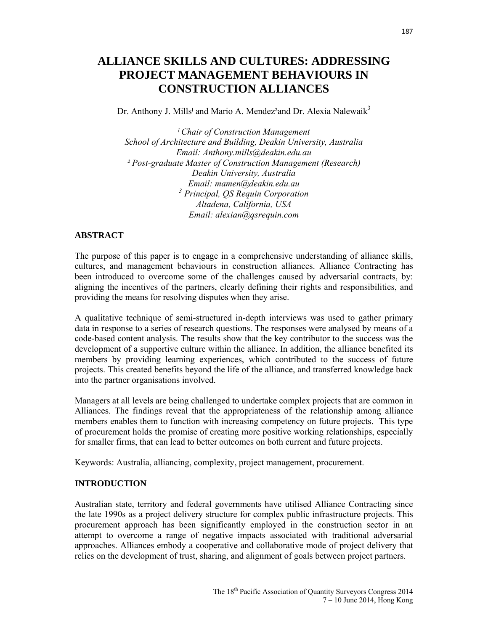# **ALLIANCE SKILLS AND CULTURES: ADDRESSING PROJECT MANAGEMENT BEHAVIOURS IN CONSTRUCTION ALLIANCES**

Dr. Anthony J. Mills<sup>1</sup> and Mario A. Mendez<sup>2</sup>and Dr. Alexia Nalewaik<sup>3</sup>

*ˡ Chair of Construction Management School of Architecture and Building, Deakin University, Australia Email: Anthony.mills@deakin.edu.au ² Post-graduate Master of Construction Management (Research) Deakin University, Australia Email: mamen@deakin.edu.au 3 Principal, QS Requin Corporation Altadena, California, USA Email: alexian@qsrequin.com* 

#### **ABSTRACT**

The purpose of this paper is to engage in a comprehensive understanding of alliance skills, cultures, and management behaviours in construction alliances. Alliance Contracting has been introduced to overcome some of the challenges caused by adversarial contracts, by: aligning the incentives of the partners, clearly defining their rights and responsibilities, and providing the means for resolving disputes when they arise.

A qualitative technique of semi-structured in-depth interviews was used to gather primary data in response to a series of research questions. The responses were analysed by means of a code-based content analysis. The results show that the key contributor to the success was the development of a supportive culture within the alliance. In addition, the alliance benefited its members by providing learning experiences, which contributed to the success of future projects. This created benefits beyond the life of the alliance, and transferred knowledge back into the partner organisations involved.

Managers at all levels are being challenged to undertake complex projects that are common in Alliances. The findings reveal that the appropriateness of the relationship among alliance members enables them to function with increasing competency on future projects. This type of procurement holds the promise of creating more positive working relationships, especially for smaller firms, that can lead to better outcomes on both current and future projects.

Keywords: Australia, alliancing, complexity, project management, procurement.

#### **INTRODUCTION**

Australian state, territory and federal governments have utilised Alliance Contracting since the late 1990s as a project delivery structure for complex public infrastructure projects. This procurement approach has been significantly employed in the construction sector in an attempt to overcome a range of negative impacts associated with traditional adversarial approaches. Alliances embody a cooperative and collaborative mode of project delivery that relies on the development of trust, sharing, and alignment of goals between project partners.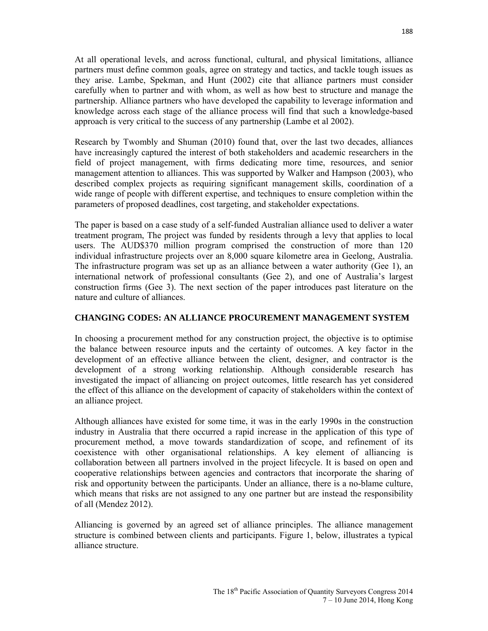At all operational levels, and across functional, cultural, and physical limitations, alliance partners must define common goals, agree on strategy and tactics, and tackle tough issues as they arise. Lambe, Spekman, and Hunt (2002) cite that alliance partners must consider carefully when to partner and with whom, as well as how best to structure and manage the partnership. Alliance partners who have developed the capability to leverage information and knowledge across each stage of the alliance process will find that such a knowledge-based approach is very critical to the success of any partnership (Lambe et al 2002).

Research by Twombly and Shuman (2010) found that, over the last two decades, alliances have increasingly captured the interest of both stakeholders and academic researchers in the field of project management, with firms dedicating more time, resources, and senior management attention to alliances. This was supported by Walker and Hampson (2003), who described complex projects as requiring significant management skills, coordination of a wide range of people with different expertise, and techniques to ensure completion within the parameters of proposed deadlines, cost targeting, and stakeholder expectations.

The paper is based on a case study of a self-funded Australian alliance used to deliver a water treatment program, The project was funded by residents through a levy that applies to local users. The AUD\$370 million program comprised the construction of more than 120 individual infrastructure projects over an 8,000 square kilometre area in Geelong, Australia. The infrastructure program was set up as an alliance between a water authority (Gee 1), an international network of professional consultants (Gee 2), and one of Australia's largest construction firms (Gee 3). The next section of the paper introduces past literature on the nature and culture of alliances.

#### **CHANGING CODES: AN ALLIANCE PROCUREMENT MANAGEMENT SYSTEM**

In choosing a procurement method for any construction project, the objective is to optimise the balance between resource inputs and the certainty of outcomes. A key factor in the development of an effective alliance between the client, designer, and contractor is the development of a strong working relationship. Although considerable research has investigated the impact of alliancing on project outcomes, little research has yet considered the effect of this alliance on the development of capacity of stakeholders within the context of an alliance project.

Although alliances have existed for some time, it was in the early 1990s in the construction industry in Australia that there occurred a rapid increase in the application of this type of procurement method, a move towards standardization of scope, and refinement of its coexistence with other organisational relationships. A key element of alliancing is collaboration between all partners involved in the project lifecycle. It is based on open and cooperative relationships between agencies and contractors that incorporate the sharing of risk and opportunity between the participants. Under an alliance, there is a no-blame culture, which means that risks are not assigned to any one partner but are instead the responsibility of all (Mendez 2012).

Alliancing is governed by an agreed set of alliance principles. The alliance management structure is combined between clients and participants. Figure 1, below, illustrates a typical alliance structure.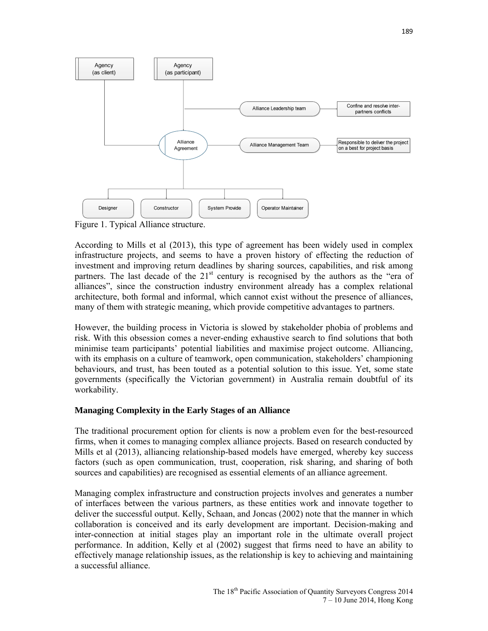

Figure 1. Typical Alliance structure.

According to Mills et al (2013), this type of agreement has been widely used in complex infrastructure projects, and seems to have a proven history of effecting the reduction of investment and improving return deadlines by sharing sources, capabilities, and risk among partners. The last decade of the  $21<sup>st</sup>$  century is recognised by the authors as the "era of alliances", since the construction industry environment already has a complex relational architecture, both formal and informal, which cannot exist without the presence of alliances, many of them with strategic meaning, which provide competitive advantages to partners.

However, the building process in Victoria is slowed by stakeholder phobia of problems and risk. With this obsession comes a never-ending exhaustive search to find solutions that both minimise team participants' potential liabilities and maximise project outcome. Alliancing, with its emphasis on a culture of teamwork, open communication, stakeholders' championing behaviours, and trust, has been touted as a potential solution to this issue. Yet, some state governments (specifically the Victorian government) in Australia remain doubtful of its workability.

## **Managing Complexity in the Early Stages of an Alliance**

The traditional procurement option for clients is now a problem even for the best-resourced firms, when it comes to managing complex alliance projects. Based on research conducted by Mills et al (2013), alliancing relationship-based models have emerged, whereby key success factors (such as open communication, trust, cooperation, risk sharing, and sharing of both sources and capabilities) are recognised as essential elements of an alliance agreement.

Managing complex infrastructure and construction projects involves and generates a number of interfaces between the various partners, as these entities work and innovate together to deliver the successful output. Kelly, Schaan, and Joncas (2002) note that the manner in which collaboration is conceived and its early development are important. Decision-making and inter-connection at initial stages play an important role in the ultimate overall project performance. In addition, Kelly et al (2002) suggest that firms need to have an ability to effectively manage relationship issues, as the relationship is key to achieving and maintaining a successful alliance.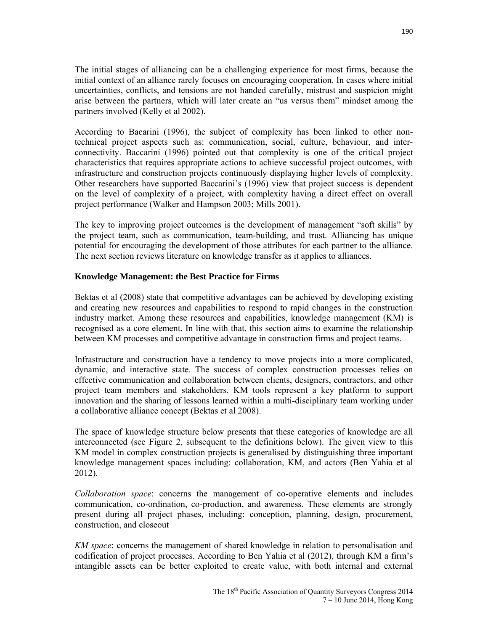The initial stages of alliancing can be a challenging experience for most firms, because the initial context of an alliance rarely focuses on encouraging cooperation. In cases where initial uncertainties, conflicts, and tensions are not handed carefully, mistrust and suspicion might arise between the partners, which will later create an "us versus them" mindset among the partners involved (Kelly et al 2002).

According to Bacarini (1996), the subject of complexity has been linked to other nontechnical project aspects such as: communication, social, culture, behaviour, and interconnectivity. Baccarini (1996) pointed out that complexity is one of the critical project characteristics that requires appropriate actions to achieve successful project outcomes, with infrastructure and construction projects continuously displaying higher levels of complexity. Other researchers have supported Baccarini's (1996) view that project success is dependent on the level of complexity of a project, with complexity having a direct effect on overall project performance (Walker and Hampson 2003; Mills 2001).

The key to improving project outcomes is the development of management "soft skills" by the project team, such as communication, team-building, and trust. Alliancing has unique potential for encouraging the development of those attributes for each partner to the alliance. The next section reviews literature on knowledge transfer as it applies to alliances.

## **Knowledge Management: the Best Practice for Firms**

Bektas et al (2008) state that competitive advantages can be achieved by developing existing and creating new resources and capabilities to respond to rapid changes in the construction industry market. Among these resources and capabilities, knowledge management (KM) is recognised as a core element. In line with that, this section aims to examine the relationship between KM processes and competitive advantage in construction firms and project teams.

Infrastructure and construction have a tendency to move projects into a more complicated, dynamic, and interactive state. The success of complex construction processes relies on effective communication and collaboration between clients, designers, contractors, and other project team members and stakeholders. KM tools represent a key platform to support innovation and the sharing of lessons learned within a multi-disciplinary team working under a collaborative alliance concept (Bektas et al 2008).

The space of knowledge structure below presents that these categories of knowledge are all interconnected (see Figure 2, subsequent to the definitions below). The given view to this KM model in complex construction projects is generalised by distinguishing three important knowledge management spaces including: collaboration, KM, and actors (Ben Yahia et al 2012).

*Collaboration space*: concerns the management of co-operative elements and includes communication, co-ordination, co-production, and awareness. These elements are strongly present during all project phases, including: conception, planning, design, procurement, construction, and closeout

*KM space*: concerns the management of shared knowledge in relation to personalisation and codification of project processes. According to Ben Yahia et al (2012), through KM a firm's intangible assets can be better exploited to create value, with both internal and external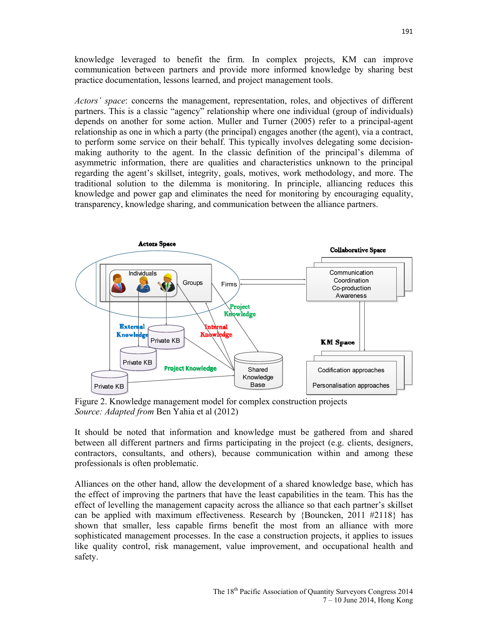knowledge leveraged to benefit the firm. In complex projects, KM can improve communication between partners and provide more informed knowledge by sharing best practice documentation, lessons learned, and project management tools.

*Actors' space*: concerns the management, representation, roles, and objectives of different partners. This is a classic "agency" relationship where one individual (group of individuals) depends on another for some action. Muller and Turner (2005) refer to a principal-agent relationship as one in which a party (the principal) engages another (the agent), via a contract, to perform some service on their behalf. This typically involves delegating some decisionmaking authority to the agent. In the classic definition of the principal's dilemma of asymmetric information, there are qualities and characteristics unknown to the principal regarding the agent's skillset, integrity, goals, motives, work methodology, and more. The traditional solution to the dilemma is monitoring. In principle, alliancing reduces this knowledge and power gap and eliminates the need for monitoring by encouraging equality, transparency, knowledge sharing, and communication between the alliance partners.



Figure 2. Knowledge management model for complex construction projects *Source: Adapted from* Ben Yahia et al (2012)

It should be noted that information and knowledge must be gathered from and shared between all different partners and firms participating in the project (e.g. clients, designers, contractors, consultants, and others), because communication within and among these professionals is often problematic.

Alliances on the other hand, allow the development of a shared knowledge base, which has the effect of improving the partners that have the least capabilities in the team. This has the effect of levelling the management capacity across the alliance so that each partner's skillset can be applied with maximum effectiveness. Research by {Bouncken, 2011 #2118} has shown that smaller, less capable firms benefit the most from an alliance with more sophisticated management processes. In the case a construction projects, it applies to issues like quality control, risk management, value improvement, and occupational health and safety.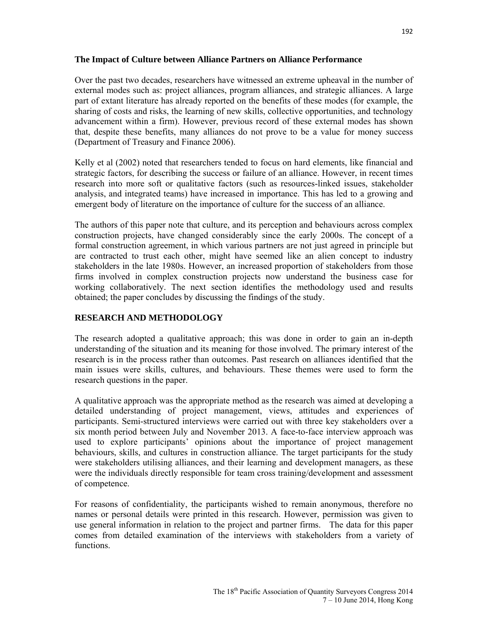## **The Impact of Culture between Alliance Partners on Alliance Performance**

Over the past two decades, researchers have witnessed an extreme upheaval in the number of external modes such as: project alliances, program alliances, and strategic alliances. A large part of extant literature has already reported on the benefits of these modes (for example, the sharing of costs and risks, the learning of new skills, collective opportunities, and technology advancement within a firm). However, previous record of these external modes has shown that, despite these benefits, many alliances do not prove to be a value for money success (Department of Treasury and Finance 2006).

Kelly et al (2002) noted that researchers tended to focus on hard elements, like financial and strategic factors, for describing the success or failure of an alliance. However, in recent times research into more soft or qualitative factors (such as resources-linked issues, stakeholder analysis, and integrated teams) have increased in importance. This has led to a growing and emergent body of literature on the importance of culture for the success of an alliance.

The authors of this paper note that culture, and its perception and behaviours across complex construction projects, have changed considerably since the early 2000s. The concept of a formal construction agreement, in which various partners are not just agreed in principle but are contracted to trust each other, might have seemed like an alien concept to industry stakeholders in the late 1980s. However, an increased proportion of stakeholders from those firms involved in complex construction projects now understand the business case for working collaboratively. The next section identifies the methodology used and results obtained; the paper concludes by discussing the findings of the study.

## **RESEARCH AND METHODOLOGY**

The research adopted a qualitative approach; this was done in order to gain an in-depth understanding of the situation and its meaning for those involved. The primary interest of the research is in the process rather than outcomes. Past research on alliances identified that the main issues were skills, cultures, and behaviours. These themes were used to form the research questions in the paper.

A qualitative approach was the appropriate method as the research was aimed at developing a detailed understanding of project management, views, attitudes and experiences of participants. Semi-structured interviews were carried out with three key stakeholders over a six month period between July and November 2013. A face-to-face interview approach was used to explore participants' opinions about the importance of project management behaviours, skills, and cultures in construction alliance. The target participants for the study were stakeholders utilising alliances, and their learning and development managers, as these were the individuals directly responsible for team cross training/development and assessment of competence.

For reasons of confidentiality, the participants wished to remain anonymous, therefore no names or personal details were printed in this research. However, permission was given to use general information in relation to the project and partner firms. The data for this paper comes from detailed examination of the interviews with stakeholders from a variety of functions.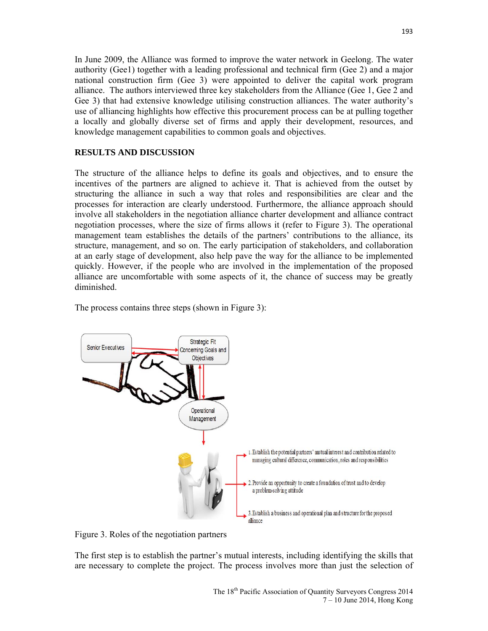In June 2009, the Alliance was formed to improve the water network in Geelong. The water authority (Gee1) together with a leading professional and technical firm (Gee 2) and a major national construction firm (Gee 3) were appointed to deliver the capital work program alliance. The authors interviewed three key stakeholders from the Alliance (Gee 1, Gee 2 and Gee 3) that had extensive knowledge utilising construction alliances. The water authority's use of alliancing highlights how effective this procurement process can be at pulling together a locally and globally diverse set of firms and apply their development, resources, and knowledge management capabilities to common goals and objectives.

## **RESULTS AND DISCUSSION**

The structure of the alliance helps to define its goals and objectives, and to ensure the incentives of the partners are aligned to achieve it. That is achieved from the outset by structuring the alliance in such a way that roles and responsibilities are clear and the processes for interaction are clearly understood. Furthermore, the alliance approach should involve all stakeholders in the negotiation alliance charter development and alliance contract negotiation processes, where the size of firms allows it (refer to Figure 3). The operational management team establishes the details of the partners' contributions to the alliance, its structure, management, and so on. The early participation of stakeholders, and collaboration at an early stage of development, also help pave the way for the alliance to be implemented quickly. However, if the people who are involved in the implementation of the proposed alliance are uncomfortable with some aspects of it, the chance of success may be greatly diminished.



The process contains three steps (shown in Figure 3):

Figure 3. Roles of the negotiation partners

The first step is to establish the partner's mutual interests, including identifying the skills that are necessary to complete the project. The process involves more than just the selection of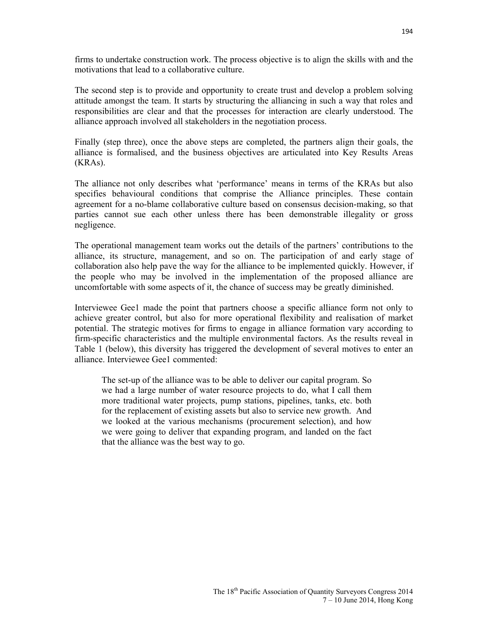firms to undertake construction work. The process objective is to align the skills with and the motivations that lead to a collaborative culture.

The second step is to provide and opportunity to create trust and develop a problem solving attitude amongst the team. It starts by structuring the alliancing in such a way that roles and responsibilities are clear and that the processes for interaction are clearly understood. The alliance approach involved all stakeholders in the negotiation process.

Finally (step three), once the above steps are completed, the partners align their goals, the alliance is formalised, and the business objectives are articulated into Key Results Areas (KRAs).

The alliance not only describes what 'performance' means in terms of the KRAs but also specifies behavioural conditions that comprise the Alliance principles. These contain agreement for a no-blame collaborative culture based on consensus decision-making, so that parties cannot sue each other unless there has been demonstrable illegality or gross negligence.

The operational management team works out the details of the partners' contributions to the alliance, its structure, management, and so on. The participation of and early stage of collaboration also help pave the way for the alliance to be implemented quickly. However, if the people who may be involved in the implementation of the proposed alliance are uncomfortable with some aspects of it, the chance of success may be greatly diminished.

Interviewee Gee1 made the point that partners choose a specific alliance form not only to achieve greater control, but also for more operational flexibility and realisation of market potential. The strategic motives for firms to engage in alliance formation vary according to firm-specific characteristics and the multiple environmental factors. As the results reveal in Table 1 (below), this diversity has triggered the development of several motives to enter an alliance. Interviewee Gee1 commented:

The set-up of the alliance was to be able to deliver our capital program. So we had a large number of water resource projects to do, what I call them more traditional water projects, pump stations, pipelines, tanks, etc. both for the replacement of existing assets but also to service new growth. And we looked at the various mechanisms (procurement selection), and how we were going to deliver that expanding program, and landed on the fact that the alliance was the best way to go.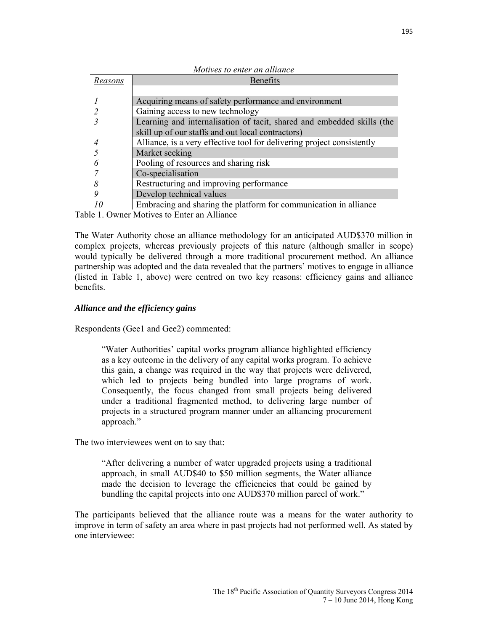| Motives to enter an alliance |                                                                        |
|------------------------------|------------------------------------------------------------------------|
| Reasons                      | Benefits                                                               |
|                              |                                                                        |
|                              | Acquiring means of safety performance and environment                  |
|                              | Gaining access to new technology                                       |
|                              | Learning and internalisation of tacit, shared and embedded skills (the |
|                              | skill up of our staffs and out local contractors)                      |
|                              | Alliance, is a very effective tool for delivering project consistently |
|                              | Market seeking                                                         |
|                              | Pooling of resources and sharing risk                                  |
|                              | Co-specialisation                                                      |
|                              | Restructuring and improving performance                                |
|                              | Develop technical values                                               |
|                              | Embracing and sharing the platform for communication in alliance       |

Table 1. Owner Motives to Enter an Alliance

The Water Authority chose an alliance methodology for an anticipated AUD\$370 million in complex projects, whereas previously projects of this nature (although smaller in scope) would typically be delivered through a more traditional procurement method. An alliance partnership was adopted and the data revealed that the partners' motives to engage in alliance (listed in Table 1, above) were centred on two key reasons: efficiency gains and alliance benefits.

## *Alliance and the efficiency gains*

Respondents (Gee1 and Gee2) commented:

"Water Authorities' capital works program alliance highlighted efficiency as a key outcome in the delivery of any capital works program. To achieve this gain, a change was required in the way that projects were delivered, which led to projects being bundled into large programs of work. Consequently, the focus changed from small projects being delivered under a traditional fragmented method, to delivering large number of projects in a structured program manner under an alliancing procurement approach."

The two interviewees went on to say that:

"After delivering a number of water upgraded projects using a traditional approach, in small AUD\$40 to \$50 million segments, the Water alliance made the decision to leverage the efficiencies that could be gained by bundling the capital projects into one AUD\$370 million parcel of work."

The participants believed that the alliance route was a means for the water authority to improve in term of safety an area where in past projects had not performed well. As stated by one interviewee: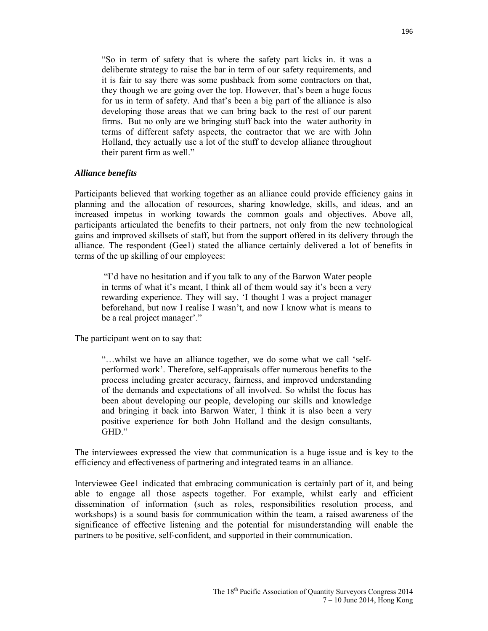"So in term of safety that is where the safety part kicks in. it was a deliberate strategy to raise the bar in term of our safety requirements, and it is fair to say there was some pushback from some contractors on that, they though we are going over the top. However, that's been a huge focus for us in term of safety. And that's been a big part of the alliance is also developing those areas that we can bring back to the rest of our parent firms. But no only are we bringing stuff back into the water authority in terms of different safety aspects, the contractor that we are with John Holland, they actually use a lot of the stuff to develop alliance throughout their parent firm as well."

#### *Alliance benefits*

Participants believed that working together as an alliance could provide efficiency gains in planning and the allocation of resources, sharing knowledge, skills, and ideas, and an increased impetus in working towards the common goals and objectives. Above all, participants articulated the benefits to their partners, not only from the new technological gains and improved skillsets of staff, but from the support offered in its delivery through the alliance. The respondent (Gee1) stated the alliance certainly delivered a lot of benefits in terms of the up skilling of our employees:

 "I'd have no hesitation and if you talk to any of the Barwon Water people in terms of what it's meant, I think all of them would say it's been a very rewarding experience. They will say, 'I thought I was a project manager beforehand, but now I realise I wasn't, and now I know what is means to be a real project manager'."

The participant went on to say that:

"…whilst we have an alliance together, we do some what we call 'selfperformed work'. Therefore, self-appraisals offer numerous benefits to the process including greater accuracy, fairness, and improved understanding of the demands and expectations of all involved. So whilst the focus has been about developing our people, developing our skills and knowledge and bringing it back into Barwon Water, I think it is also been a very positive experience for both John Holland and the design consultants, GHD"

The interviewees expressed the view that communication is a huge issue and is key to the efficiency and effectiveness of partnering and integrated teams in an alliance.

Interviewee Gee1 indicated that embracing communication is certainly part of it, and being able to engage all those aspects together. For example, whilst early and efficient dissemination of information (such as roles, responsibilities resolution process, and workshops) is a sound basis for communication within the team, a raised awareness of the significance of effective listening and the potential for misunderstanding will enable the partners to be positive, self-confident, and supported in their communication.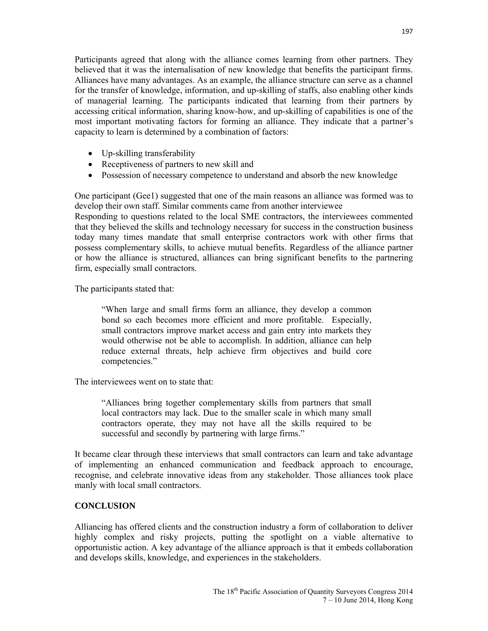Participants agreed that along with the alliance comes learning from other partners. They believed that it was the internalisation of new knowledge that benefits the participant firms. Alliances have many advantages. As an example, the alliance structure can serve as a channel for the transfer of knowledge, information, and up-skilling of staffs, also enabling other kinds of managerial learning. The participants indicated that learning from their partners by accessing critical information, sharing know-how, and up-skilling of capabilities is one of the most important motivating factors for forming an alliance. They indicate that a partner's capacity to learn is determined by a combination of factors:

- Up-skilling transferability
- Receptiveness of partners to new skill and
- Possession of necessary competence to understand and absorb the new knowledge

One participant (Gee1) suggested that one of the main reasons an alliance was formed was to develop their own staff. Similar comments came from another interviewee

Responding to questions related to the local SME contractors, the interviewees commented that they believed the skills and technology necessary for success in the construction business today many times mandate that small enterprise contractors work with other firms that possess complementary skills, to achieve mutual benefits. Regardless of the alliance partner or how the alliance is structured, alliances can bring significant benefits to the partnering firm, especially small contractors.

The participants stated that:

"When large and small firms form an alliance, they develop a common bond so each becomes more efficient and more profitable. Especially, small contractors improve market access and gain entry into markets they would otherwise not be able to accomplish. In addition, alliance can help reduce external threats, help achieve firm objectives and build core competencies."

The interviewees went on to state that:

"Alliances bring together complementary skills from partners that small local contractors may lack. Due to the smaller scale in which many small contractors operate, they may not have all the skills required to be successful and secondly by partnering with large firms."

It became clear through these interviews that small contractors can learn and take advantage of implementing an enhanced communication and feedback approach to encourage, recognise, and celebrate innovative ideas from any stakeholder. Those alliances took place manly with local small contractors.

## **CONCLUSION**

Alliancing has offered clients and the construction industry a form of collaboration to deliver highly complex and risky projects, putting the spotlight on a viable alternative to opportunistic action. A key advantage of the alliance approach is that it embeds collaboration and develops skills, knowledge, and experiences in the stakeholders.